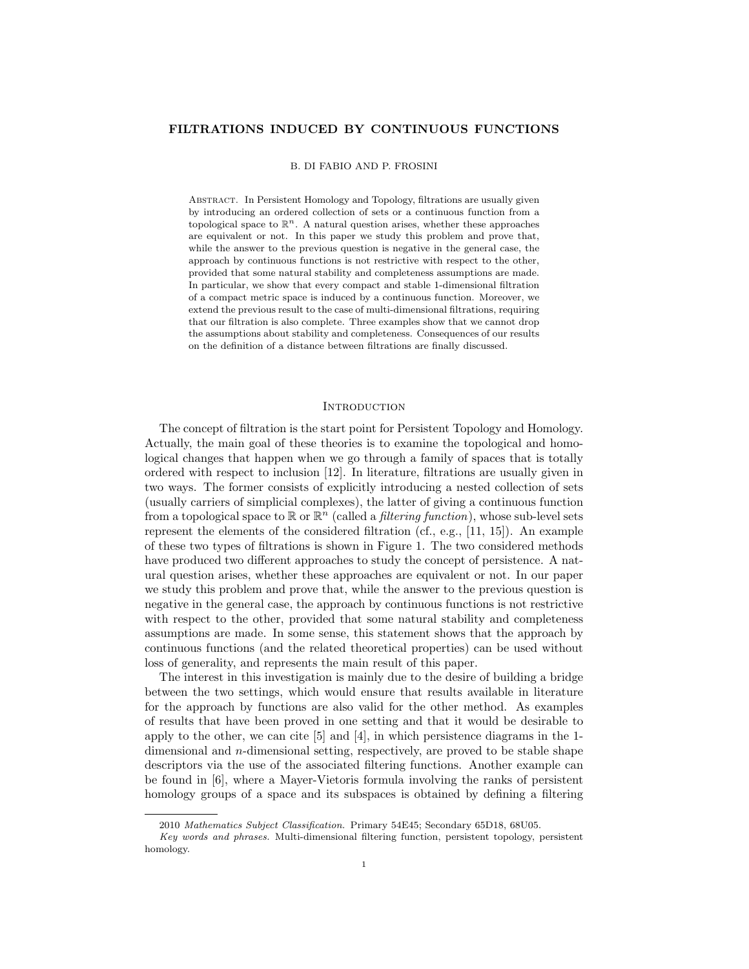### FILTRATIONS INDUCED BY CONTINUOUS FUNCTIONS

## B. DI FABIO AND P. FROSINI

Abstract. In Persistent Homology and Topology, filtrations are usually given by introducing an ordered collection of sets or a continuous function from a topological space to  $\mathbb{R}^n$ . A natural question arises, whether these approaches are equivalent or not. In this paper we study this problem and prove that, while the answer to the previous question is negative in the general case, the approach by continuous functions is not restrictive with respect to the other, provided that some natural stability and completeness assumptions are made. In particular, we show that every compact and stable 1-dimensional filtration of a compact metric space is induced by a continuous function. Moreover, we extend the previous result to the case of multi-dimensional filtrations, requiring that our filtration is also complete. Three examples show that we cannot drop the assumptions about stability and completeness. Consequences of our results on the definition of a distance between filtrations are finally discussed.

# **INTRODUCTION**

The concept of filtration is the start point for Persistent Topology and Homology. Actually, the main goal of these theories is to examine the topological and homological changes that happen when we go through a family of spaces that is totally ordered with respect to inclusion [12]. In literature, filtrations are usually given in two ways. The former consists of explicitly introducing a nested collection of sets (usually carriers of simplicial complexes), the latter of giving a continuous function from a topological space to  $\mathbb{R}$  or  $\mathbb{R}^n$  (called a *filtering function*), whose sub-level sets represent the elements of the considered filtration (cf., e.g., [11, 15]). An example of these two types of filtrations is shown in Figure 1. The two considered methods have produced two different approaches to study the concept of persistence. A natural question arises, whether these approaches are equivalent or not. In our paper we study this problem and prove that, while the answer to the previous question is negative in the general case, the approach by continuous functions is not restrictive with respect to the other, provided that some natural stability and completeness assumptions are made. In some sense, this statement shows that the approach by continuous functions (and the related theoretical properties) can be used without loss of generality, and represents the main result of this paper.

The interest in this investigation is mainly due to the desire of building a bridge between the two settings, which would ensure that results available in literature for the approach by functions are also valid for the other method. As examples of results that have been proved in one setting and that it would be desirable to apply to the other, we can cite [5] and [4], in which persistence diagrams in the 1 dimensional and n-dimensional setting, respectively, are proved to be stable shape descriptors via the use of the associated filtering functions. Another example can be found in [6], where a Mayer-Vietoris formula involving the ranks of persistent homology groups of a space and its subspaces is obtained by defining a filtering

<sup>2010</sup> Mathematics Subject Classification. Primary 54E45; Secondary 65D18, 68U05.

Key words and phrases. Multi-dimensional filtering function, persistent topology, persistent homology.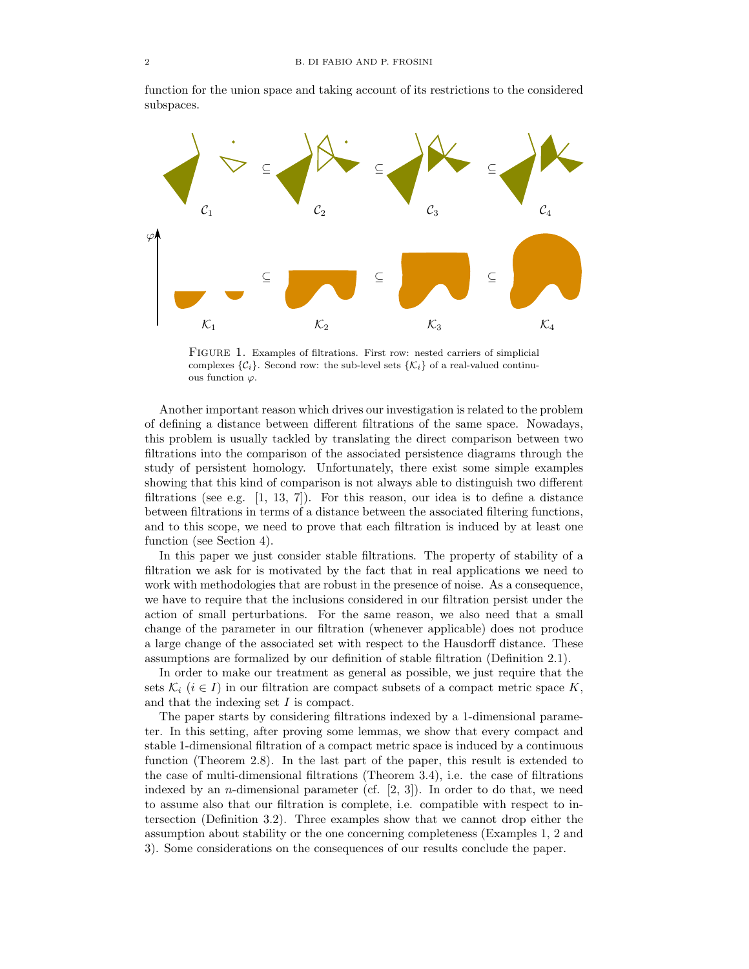



Figure 1. Examples of filtrations. First row: nested carriers of simplicial complexes  $\{\mathcal{C}_i\}$ . Second row: the sub-level sets  $\{\mathcal{K}_i\}$  of a real-valued continuous function  $\varphi$ .

Another important reason which drives our investigation is related to the problem of defining a distance between different filtrations of the same space. Nowadays, this problem is usually tackled by translating the direct comparison between two filtrations into the comparison of the associated persistence diagrams through the study of persistent homology. Unfortunately, there exist some simple examples showing that this kind of comparison is not always able to distinguish two different filtrations (see e.g.  $[1, 13, 7]$ ). For this reason, our idea is to define a distance between filtrations in terms of a distance between the associated filtering functions, and to this scope, we need to prove that each filtration is induced by at least one function (see Section 4).

In this paper we just consider stable filtrations. The property of stability of a filtration we ask for is motivated by the fact that in real applications we need to work with methodologies that are robust in the presence of noise. As a consequence, we have to require that the inclusions considered in our filtration persist under the action of small perturbations. For the same reason, we also need that a small change of the parameter in our filtration (whenever applicable) does not produce a large change of the associated set with respect to the Hausdorff distance. These assumptions are formalized by our definition of stable filtration (Definition 2.1).

In order to make our treatment as general as possible, we just require that the sets  $\mathcal{K}_i$  ( $i \in I$ ) in our filtration are compact subsets of a compact metric space K, and that the indexing set I is compact.

The paper starts by considering filtrations indexed by a 1-dimensional parameter. In this setting, after proving some lemmas, we show that every compact and stable 1-dimensional filtration of a compact metric space is induced by a continuous function (Theorem 2.8). In the last part of the paper, this result is extended to the case of multi-dimensional filtrations (Theorem 3.4), i.e. the case of filtrations indexed by an *n*-dimensional parameter (cf.  $[2, 3]$ ). In order to do that, we need to assume also that our filtration is complete, i.e. compatible with respect to intersection (Definition 3.2). Three examples show that we cannot drop either the assumption about stability or the one concerning completeness (Examples 1, 2 and 3). Some considerations on the consequences of our results conclude the paper.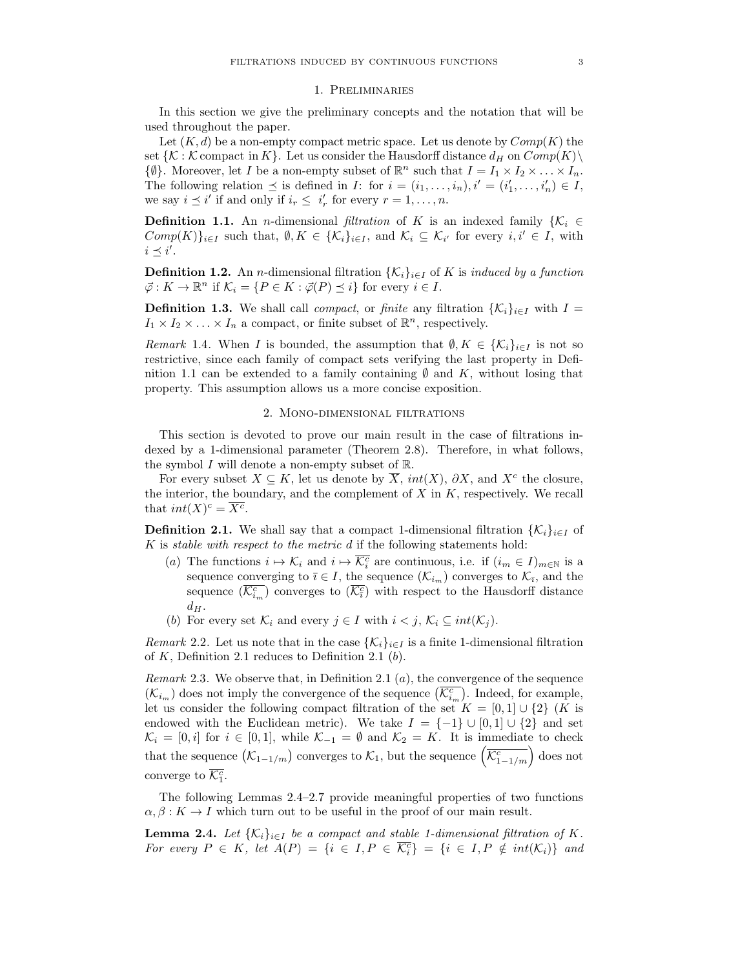#### 1. Preliminaries

In this section we give the preliminary concepts and the notation that will be used throughout the paper.

Let  $(K, d)$  be a non-empty compact metric space. Let us denote by  $Comp(K)$  the set  $\{K : \mathcal{K}$  compact in  $K\}$ . Let us consider the Hausdorff distance  $d_H$  on  $Comp(K)\$  $\{\emptyset\}$ . Moreover, let *I* be a non-empty subset of  $\mathbb{R}^n$  such that  $I = I_1 \times I_2 \times \ldots \times I_n$ . The following relation  $\preceq$  is defined in *I*: for  $i = (i_1, \ldots, i_n), i' = (i'_1, \ldots, i'_n) \in I$ , we say  $i \leq i'$  if and only if  $i_r \leq i'_r$  for every  $r = 1, \ldots, n$ .

**Definition 1.1.** An *n*-dimensional filtration of K is an indexed family  $\{K_i \in$  $Comp(K)\}_{i\in I}$  such that,  $\emptyset, K \in {\{\mathcal{K}_i\}}_{i\in I}$ , and  $\mathcal{K}_i \subseteq \mathcal{K}_{i'}$  for every  $i, i' \in I$ , with  $i \preceq i'.$ 

**Definition 1.2.** An *n*-dimensional filtration  $\{\mathcal{K}_i\}_{i\in I}$  of K is induced by a function  $\vec{\varphi}: K \to \mathbb{R}^n$  if  $\mathcal{K}_i = \{P \in K : \vec{\varphi}(P) \preceq i\}$  for every  $i \in I$ .

**Definition 1.3.** We shall call *compact*, or *finite* any filtration  $\{K_i\}_{i\in I}$  with  $I =$  $I_1 \times I_2 \times \ldots \times I_n$  a compact, or finite subset of  $\mathbb{R}^n$ , respectively.

Remark 1.4. When I is bounded, the assumption that  $\emptyset, K \in \{K_i\}_{i\in I}$  is not so restrictive, since each family of compact sets verifying the last property in Definition 1.1 can be extended to a family containing  $\emptyset$  and K, without losing that property. This assumption allows us a more concise exposition.

#### 2. Mono-dimensional filtrations

This section is devoted to prove our main result in the case of filtrations indexed by a 1-dimensional parameter (Theorem 2.8). Therefore, in what follows, the symbol  $I$  will denote a non-empty subset of  $\mathbb{R}$ .

For every subset  $X \subseteq K$ , let us denote by  $\overline{X}$ ,  $int(X)$ ,  $\partial X$ , and  $X^c$  the closure, the interior, the boundary, and the complement of  $X$  in  $K$ , respectively. We recall that  $int(X)^c = \overline{X^c}$ .

**Definition 2.1.** We shall say that a compact 1-dimensional filtration  $\{\mathcal{K}_i\}_{i\in I}$  of K is stable with respect to the metric d if the following statements hold:

- (a) The functions  $i \mapsto \mathcal{K}_i$  and  $i \mapsto \overline{\mathcal{K}_i^c}$  are continuous, i.e. if  $(i_m \in I)_{m \in \mathbb{N}}$  is a sequence converging to  $\bar{i} \in I$ , the sequence  $(\mathcal{K}_{i_m})$  converges to  $\mathcal{K}_{\bar{i}}$ , and the sequence  $(\overline{\mathcal{K}_{i_m}^c})$  converges to  $(\overline{\mathcal{K}_{\bar{i}}^c})$  with respect to the Hausdorff distance  $d_H$ .
- (b) For every set  $\mathcal{K}_i$  and every  $j \in I$  with  $i < j$ ,  $\mathcal{K}_i \subseteq int(\mathcal{K}_j)$ .

Remark 2.2. Let us note that in the case  $\{\mathcal{K}_i\}_{i\in I}$  is a finite 1-dimensional filtration of  $K$ , Definition 2.1 reduces to Definition 2.1 (b).

*Remark* 2.3. We observe that, in Definition 2.1  $(a)$ , the convergence of the sequence  $(\mathcal{K}_{i_m})$  does not imply the convergence of the sequence  $(\overline{\mathcal{K}_{i_m}^c})$ . Indeed, for example, let us consider the following compact filtration of the set  $K = [0,1] \cup \{2\}$  (K is endowed with the Euclidean metric). We take  $I = \{-1\} \cup [0,1] \cup \{2\}$  and set  $\mathcal{K}_i = [0, i]$  for  $i \in [0, 1]$ , while  $\mathcal{K}_{-1} = \emptyset$  and  $\mathcal{K}_2 = K$ . It is immediate to check that the sequence  $(\mathcal{K}_{1-1/m})$  converges to  $\mathcal{K}_1$ , but the sequence  $\left(\overline{\mathcal{K}_{1-1/m}^c}\right)$  does not converge to  $\overline{\mathcal{K}_1^c}$ .

The following Lemmas 2.4–2.7 provide meaningful properties of two functions  $\alpha, \beta: K \to I$  which turn out to be useful in the proof of our main result.

**Lemma 2.4.** Let  $\{K_i\}_{i\in I}$  be a compact and stable 1-dimensional filtration of K. For every  $P \in K$ , let  $A(P) = \{i \in I, P \in \overline{\mathcal{K}_i^c}\} = \{i \in I, P \notin int(\mathcal{K}_i)\}$  and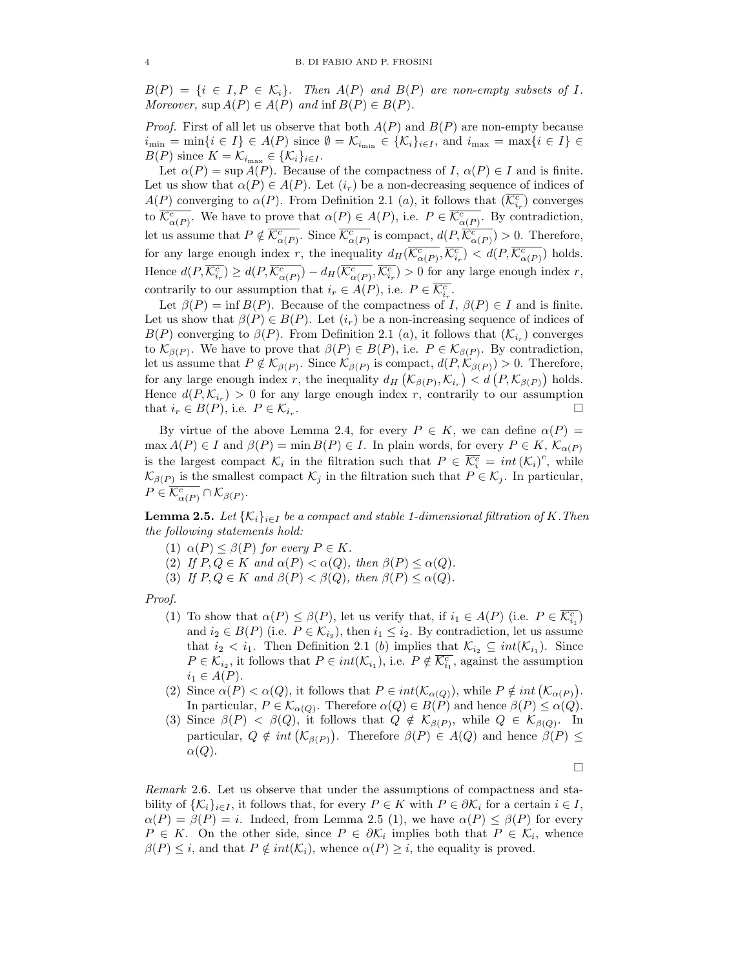$B(P) = \{i \in I, P \in \mathcal{K}_i\}.$  Then  $A(P)$  and  $B(P)$  are non-empty subsets of I. Moreover,  $\text{sup } A(P) \in A(P)$  and  $\text{inf } B(P) \in B(P)$ .

*Proof.* First of all let us observe that both  $A(P)$  and  $B(P)$  are non-empty because  $i_{\min} = \min\{i \in I\} \in A(P)$  since  $\emptyset = \mathcal{K}_{i_{\min}} \in {\mathcal{K}_i}_{i \in I}$ , and  $i_{\max} = \max\{i \in I\} \in$  $B(P)$  since  $K = \mathcal{K}_{i_{\text{max}}} \in {\mathcal{K}_{i}}_{i \in I}$ .

Let  $\alpha(P) = \sup A(P)$ . Because of the compactness of I,  $\alpha(P) \in I$  and is finite. Let us show that  $\alpha(P) \in A(P)$ . Let  $(i_r)$  be a non-decreasing sequence of indices of  $A(P)$  converging to  $\alpha(P)$ . From Definition 2.1 (*a*), it follows that  $(\overline{\mathcal{K}_{i_r}^c})$  converges to  $\overline{\mathcal{K}_{\alpha(P)}^c}$ . We have to prove that  $\alpha(P) \in A(P)$ , i.e.  $P \in \overline{\mathcal{K}_{\alpha(P)}^c}$ . By contradiction, let us assume that  $P \notin \overline{\mathcal{K}_{\alpha(P)}^c}$ . Since  $\overline{\mathcal{K}_{\alpha(P)}^c}$  is compact,  $d(P, \overline{\mathcal{K}_{\alpha(P)}^c}) > 0$ . Therefore, for any large enough index r, the inequality  $d_H(\overline{\mathcal{K}_{\alpha(P)}^c}, \overline{\mathcal{K}_{i_r}^c}) < d(P, \overline{\mathcal{K}_{\alpha(P)}^c})$  holds. Hence  $d(P, \overline{\mathcal{K}_{i_r}^c}) \geq d(P, \overline{\mathcal{K}_{\alpha(P)}^c}) - d_H(\overline{\mathcal{K}_{\alpha(P)}^c}, \overline{\mathcal{K}_{i_r}^c}) > 0$  for any large enough index r, contrarily to our assumption that  $i_r \in A(P)$ , i.e.  $P \in \overline{\mathcal{K}_{i_r}^c}$ .

Let  $\beta(P) = \inf B(P)$ . Because of the compactness of I,  $\beta(P) \in I$  and is finite. Let us show that  $\beta(P) \in B(P)$ . Let  $(i_r)$  be a non-increasing sequence of indices of  $B(P)$  converging to  $\beta(P)$ . From Definition 2.1 (*a*), it follows that  $(\mathcal{K}_{i_r})$  converges to  $\mathcal{K}_{\beta(P)}$ . We have to prove that  $\beta(P) \in B(P)$ , i.e.  $P \in \mathcal{K}_{\beta(P)}$ . By contradiction, let us assume that  $P \notin \mathcal{K}_{\beta(P)}$ . Since  $\mathcal{K}_{\beta(P)}$  is compact,  $d(P, \mathcal{K}_{\beta(P)}) > 0$ . Therefore, for any large enough index r, the inequality  $d_H(\mathcal{K}_{\beta(P)}, \mathcal{K}_{i_r}) < d(P, \mathcal{K}_{\beta(P)})$  holds. Hence  $d(P, \mathcal{K}_{i_r}) > 0$  for any large enough index r, contrarily to our assumption that  $i_r \in B(P)$ , i.e.  $P \in \mathcal{K}_{i_r}$ . .

By virtue of the above Lemma 2.4, for every  $P \in K$ , we can define  $\alpha(P)$  =  $\max A(P) \in I$  and  $\beta(P) = \min B(P) \in I$ . In plain words, for every  $P \in K$ ,  $\mathcal{K}_{\alpha(P)}$ is the largest compact  $\mathcal{K}_i$  in the filtration such that  $P \in \overline{\mathcal{K}_i^c} = int (\mathcal{K}_i)^c$ , while  $\mathcal{K}_{\beta(P)}$  is the smallest compact  $\mathcal{K}_j$  in the filtration such that  $P \in \mathcal{K}_j$ . In particular,  $P \in \overline{\mathcal{K}^c_{\alpha(P)}} \cap \mathcal{K}_{\beta(P)}.$ 

**Lemma 2.5.** Let  $\{K_i\}_{i\in I}$  be a compact and stable 1-dimensional filtration of K. Then the following statements hold:

- (1)  $\alpha(P) \leq \beta(P)$  for every  $P \in K$ .
- (2) If  $P, Q \in K$  and  $\alpha(P) < \alpha(Q)$ , then  $\beta(P) \leq \alpha(Q)$ .
- (3) If  $P, Q \in K$  and  $\beta(P) < \beta(Q)$ , then  $\beta(P) \leq \alpha(Q)$ .

Proof.

- (1) To show that  $\alpha(P) \leq \beta(P)$ , let us verify that, if  $i_1 \in A(P)$  (i.e.  $P \in \overline{\mathcal{K}_{i_1}^c}$ ) and  $i_2 \in B(P)$  (i.e.  $P \in \mathcal{K}_{i_2}$ ), then  $i_1 \leq i_2$ . By contradiction, let us assume that  $i_2 < i_1$ . Then Definition 2.1 (b) implies that  $\mathcal{K}_{i_2} \subseteq int(\mathcal{K}_{i_1})$ . Since  $P \in \mathcal{K}_{i_2}$ , it follows that  $P \in int(\mathcal{K}_{i_1})$ , i.e.  $P \notin \overline{\mathcal{K}_{i_1}^c}$ , against the assumption  $i_1 \in A(P)$ .
- (2) Since  $\alpha(P) < \alpha(Q)$ , it follows that  $P \in int(\mathcal{K}_{\alpha(Q)})$ , while  $P \notin int(\mathcal{K}_{\alpha(P)})$ . In particular,  $P \in \mathcal{K}_{\alpha(Q)}$ . Therefore  $\alpha(Q) \in B(P)$  and hence  $\beta(P) \leq \alpha(Q)$ .
- (3) Since  $\beta(P) < \beta(Q)$ , it follows that  $Q \notin \mathcal{K}_{\beta(P)}$ , while  $Q \in \mathcal{K}_{\beta(Q)}$ . In particular,  $Q \notin int(\mathcal{K}_{\beta(P)})$ . Therefore  $\beta(P) \in A(Q)$  and hence  $\beta(P) \leq$  $\alpha(Q)$ .

 $\Box$ 

Remark 2.6. Let us observe that under the assumptions of compactness and stability of  $\{\mathcal{K}_i\}_{i\in I}$ , it follows that, for every  $P \in K$  with  $P \in \partial \mathcal{K}_i$  for a certain  $i \in I$ ,  $\alpha(P) = \beta(P) = i$ . Indeed, from Lemma 2.5 (1), we have  $\alpha(P) \leq \beta(P)$  for every  $P \in K$ . On the other side, since  $P \in \partial \mathcal{K}_i$  implies both that  $P \in \mathcal{K}_i$ , whence  $\beta(P) \leq i$ , and that  $P \notin int(\mathcal{K}_i)$ , whence  $\alpha(P) \geq i$ , the equality is proved.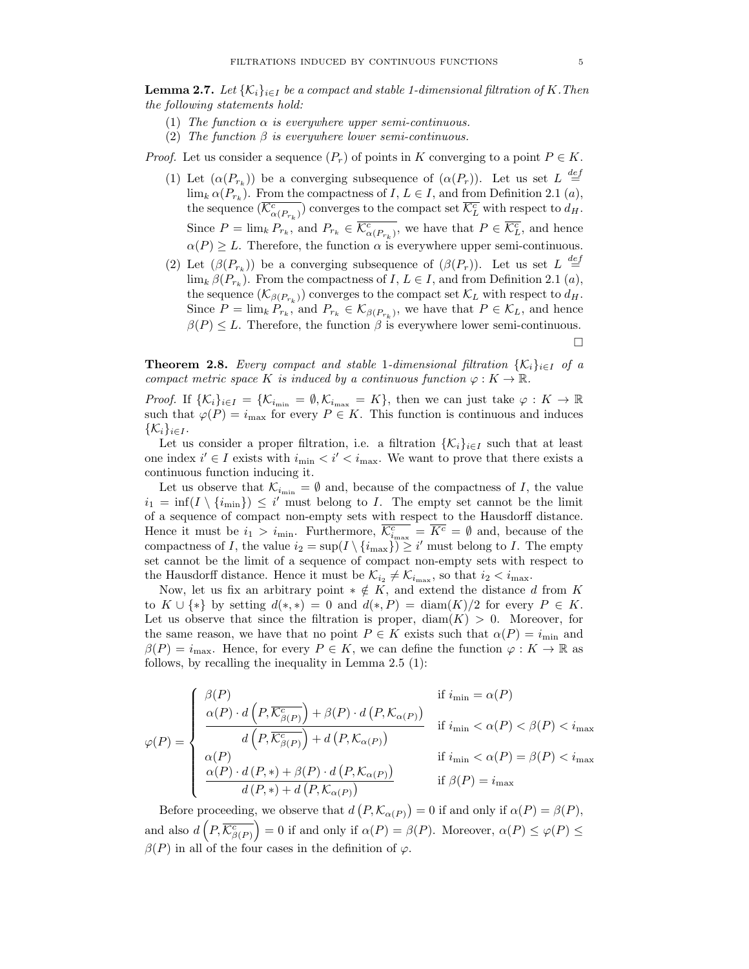**Lemma 2.7.** Let  $\{K_i\}_{i\in I}$  be a compact and stable 1-dimensional filtration of K. Then the following statements hold:

- (1) The function  $\alpha$  is everywhere upper semi-continuous.
- (2) The function  $\beta$  is everywhere lower semi-continuous.

*Proof.* Let us consider a sequence  $(P_r)$  of points in K converging to a point  $P \in K$ .

- (1) Let  $(\alpha(P_{r_k}))$  be a converging subsequence of  $(\alpha(P_r))$ . Let us set  $L \stackrel{def}{=}$  $\lim_{k} \alpha(P_{r_k})$ . From the compactness of  $I, L \in I$ , and from Definition 2.1  $(a)$ , the sequence  $(\overline{\mathcal{K}^c_{\alpha(P_{r_k})}})$  converges to the compact set  $\overline{\mathcal{K}^c_L}$  with respect to  $d_H$ . Since  $P = \lim_k P_{r_k}$ , and  $P_{r_k} \in \overline{\mathcal{K}^c_{\alpha(P_{r_k})}}$ , we have that  $P \in \overline{\mathcal{K}^c_L}$ , and hence  $\alpha(P) \geq L$ . Therefore, the function  $\alpha$  is everywhere upper semi-continuous.
- (2) Let  $(\beta(P_{r_k}))$  be a converging subsequence of  $(\beta(P_r))$ . Let us set  $L \stackrel{def}{=}$  $\lim_{k} \beta(P_{r_k})$ . From the compactness of  $I, L \in I$ , and from Definition 2.1  $(a)$ , the sequence  $(\mathcal{K}_{\beta(P_{r_k})})$  converges to the compact set  $\mathcal{K}_L$  with respect to  $d_H$ . Since  $P = \lim_k P_{r_k}$ , and  $P_{r_k} \in \mathcal{K}_{\beta(P_{r_k})}$ , we have that  $P \in \mathcal{K}_L$ , and hence  $\beta(P) \leq L$ . Therefore, the function  $\beta$  is everywhere lower semi-continuous.

 $\Box$ 

**Theorem 2.8.** Every compact and stable 1-dimensional filtration  $\{K_i\}_{i\in I}$  of a compact metric space K is induced by a continuous function  $\varphi: K \to \mathbb{R}$ .

*Proof.* If  $\{K_i\}_{i\in I} = \{K_{i_{\min}} = \emptyset, K_{i_{\max}} = K\}$ , then we can just take  $\varphi: K \to \mathbb{R}$ such that  $\varphi(P) = i_{\text{max}}$  for every  $P \in K$ . This function is continuous and induces  $\{\mathcal{K}_i\}_{i\in I}$ .

Let us consider a proper filtration, i.e. a filtration  $\{\mathcal{K}_i\}_{i\in I}$  such that at least one index  $i' \in I$  exists with  $i_{\min} < i' < i_{\max}$ . We want to prove that there exists a continuous function inducing it.

Let us observe that  $\mathcal{K}_{i_{\min}} = \emptyset$  and, because of the compactness of I, the value  $i_1 = \inf(I \setminus \{i_{\min}\}) \leq i'$  must belong to I. The empty set cannot be the limit of a sequence of compact non-empty sets with respect to the Hausdorff distance. Hence it must be  $i_1 > i_{\min}$ . Furthermore,  $\overline{\mathcal{K}_{i_{\max}}} = \overline{K^c} = \emptyset$  and, because of the compactness of I, the value  $i_2 = \sup(I \setminus \{i_{\max}\}) \geq i'$  must belong to I. The empty set cannot be the limit of a sequence of compact non-empty sets with respect to the Hausdorff distance. Hence it must be  $\mathcal{K}_{i_2} \neq \mathcal{K}_{i_{\text{max}}}$ , so that  $i_2 < i_{\text{max}}$ .

Now, let us fix an arbitrary point  $* \notin K$ , and extend the distance d from K to  $K \cup \{*\}$  by setting  $d(*, *) = 0$  and  $d(*, P) = \text{diam}(K)/2$  for every  $P \in K$ . Let us observe that since the filtration is proper,  $\text{diam}(K) > 0$ . Moreover, for the same reason, we have that no point  $P \in K$  exists such that  $\alpha(P) = i_{\min}$  and  $\beta(P) = i_{\text{max}}$ . Hence, for every  $P \in K$ , we can define the function  $\varphi: K \to \mathbb{R}$  as follows, by recalling the inequality in Lemma 2.5 (1):

$$
\varphi(P) = \begin{cases}\n\frac{\beta(P)}{\alpha(P) \cdot d\left(P, \overline{\mathcal{K}^c_{\beta(P)}}\right) + \beta(P) \cdot d\left(P, \mathcal{K}_{\alpha(P)}\right)} & \text{if } i_{\min} = \alpha(P) \\
\frac{d\left(P, \overline{\mathcal{K}^c_{\beta(P)}}\right) + d\left(P, \mathcal{K}_{\alpha(P)}\right)}{d\left(P, \overline{\mathcal{K}^c_{\beta(P)}}\right) + d\left(P, \mathcal{K}_{\alpha(P)}\right)} & \text{if } i_{\min} < \alpha(P) < \beta(P) < i_{\max} \\
\frac{\alpha(P)}{\alpha(P) \cdot d\left(P, * \right) + \beta(P) \cdot d\left(P, \mathcal{K}_{\alpha(P)}\right)} & \text{if } i_{\min} < \alpha(P) = \beta(P) < i_{\max} \\
\frac{d\left(P, * \right) + d\left(P, \mathcal{K}_{\alpha(P)}\right)}{d\left(P, * \right) + d\left(P, \mathcal{K}_{\alpha(P)}\right)} & \text{if } \beta(P) = i_{\max}\n\end{cases}
$$

Before proceeding, we observe that  $d(P, \mathcal{K}_{\alpha(P)}) = 0$  if and only if  $\alpha(P) = \beta(P)$ , and also  $d\left(P, \overline{\mathcal{K}^c_{\beta(P)}}\right) = 0$  if and only if  $\alpha(P) = \beta(P)$ . Moreover,  $\alpha(P) \leq \varphi(P) \leq$  $\beta(P)$  in all of the four cases in the definition of  $\varphi$ .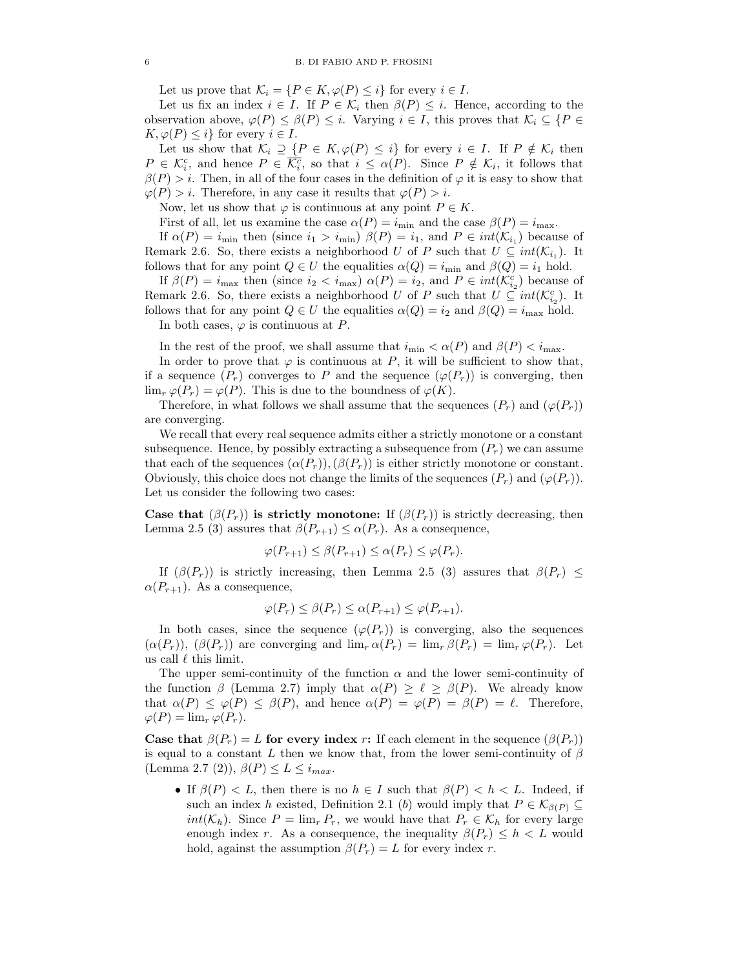Let us prove that  $\mathcal{K}_i = \{P \in K, \varphi(P) \leq i\}$  for every  $i \in I$ .

Let us fix an index  $i \in I$ . If  $P \in \mathcal{K}_i$  then  $\beta(P) \leq i$ . Hence, according to the observation above,  $\varphi(P) \leq \beta(P) \leq i$ . Varying  $i \in I$ , this proves that  $\mathcal{K}_i \subseteq \{P \in$  $K, \varphi(P) \leq i$  for every  $i \in I$ .

Let us show that  $\mathcal{K}_i \supseteq \{P \in K, \varphi(P) \leq i\}$  for every  $i \in I$ . If  $P \notin \mathcal{K}_i$  then  $P \in \mathcal{K}_{i}^{c}$ , and hence  $P \in \overline{\mathcal{K}_{i}^{c}}$ , so that  $i \leq \alpha(P)$ . Since  $P \notin \mathcal{K}_{i}$ , it follows that  $\beta(P) > i$ . Then, in all of the four cases in the definition of  $\varphi$  it is easy to show that  $\varphi(P) > i$ . Therefore, in any case it results that  $\varphi(P) > i$ .

Now, let us show that  $\varphi$  is continuous at any point  $P \in K$ .

First of all, let us examine the case  $\alpha(P) = i_{\text{min}}$  and the case  $\beta(P) = i_{\text{max}}$ .

If  $\alpha(P) = i_{\text{min}}$  then (since  $i_1 > i_{\text{min}}$ )  $\beta(P) = i_1$ , and  $P \in int(\mathcal{K}_{i_1})$  because of Remark 2.6. So, there exists a neighborhood U of P such that  $U \subseteq int(\mathcal{K}_{i_1})$ . It follows that for any point  $Q \in U$  the equalities  $\alpha(Q) = i_{\text{min}}$  and  $\beta(Q) = i_1$  hold.

If  $\beta(P) = i_{\text{max}}$  then (since  $i_2 < i_{\text{max}}$ )  $\alpha(P) = i_2$ , and  $P \in int(\mathcal{K}_{i_2}^c)$  because of Remark 2.6. So, there exists a neighborhood U of P such that  $U \subseteq int(\mathcal{K}_{i_2}^c)$ . It follows that for any point  $Q \in U$  the equalities  $\alpha(Q) = i_2$  and  $\beta(Q) = i_{\text{max}}$  hold.

In both cases,  $\varphi$  is continuous at P.

In the rest of the proof, we shall assume that  $i_{\min} < \alpha(P)$  and  $\beta(P) < i_{\max}$ .

In order to prove that  $\varphi$  is continuous at P, it will be sufficient to show that, if a sequence  $(P_r)$  converges to P and the sequence  $(\varphi(P_r))$  is converging, then  $\lim_{r \varphi(P_r) = \varphi(P)$ . This is due to the boundness of  $\varphi(K)$ .

Therefore, in what follows we shall assume that the sequences  $(P_r)$  and  $(\varphi(P_r))$ are converging.

We recall that every real sequence admits either a strictly monotone or a constant subsequence. Hence, by possibly extracting a subsequence from  $(P<sub>r</sub>)$  we can assume that each of the sequences  $(\alpha(P_r)),(\beta(P_r))$  is either strictly monotone or constant. Obviously, this choice does not change the limits of the sequences  $(P_r)$  and  $(\varphi(P_r))$ . Let us consider the following two cases:

Case that  $(\beta(P_r))$  is strictly monotone: If  $(\beta(P_r))$  is strictly decreasing, then Lemma 2.5 (3) assures that  $\beta(P_{r+1}) \leq \alpha(P_r)$ . As a consequence,

$$
\varphi(P_{r+1}) \le \beta(P_{r+1}) \le \alpha(P_r) \le \varphi(P_r).
$$

If  $(\beta(P_r))$  is strictly increasing, then Lemma 2.5 (3) assures that  $\beta(P_r) \leq$  $\alpha(P_{r+1})$ . As a consequence,

$$
\varphi(P_r) \leq \beta(P_r) \leq \alpha(P_{r+1}) \leq \varphi(P_{r+1}).
$$

In both cases, since the sequence  $(\varphi(P_r))$  is converging, also the sequences  $(\alpha(P_r))$ ,  $(\beta(P_r))$  are converging and  $\lim_{r \to \infty} \alpha(P_r) = \lim_{r \to \infty} \beta(P_r) = \lim_{r \to \infty} \varphi(P_r)$ . Let us call  $\ell$  this limit.

The upper semi-continuity of the function  $\alpha$  and the lower semi-continuity of the function  $\beta$  (Lemma 2.7) imply that  $\alpha(P) > \ell > \beta(P)$ . We already know that  $\alpha(P) \leq \varphi(P) \leq \beta(P)$ , and hence  $\alpha(P) = \varphi(P) = \beta(P) = \ell$ . Therefore,  $\varphi(P) = \lim_{r} \varphi(P_r).$ 

Case that  $\beta(P_r) = L$  for every index r: If each element in the sequence  $(\beta(P_r))$ is equal to a constant L then we know that, from the lower semi-continuity of  $\beta$ (Lemma 2.7 (2)),  $\beta(P) \leq L \leq i_{max}$ .

• If  $\beta(P) < L$ , then there is no  $h \in I$  such that  $\beta(P) < h < L$ . Indeed, if such an index h existed, Definition 2.1 (b) would imply that  $P \in \mathcal{K}_{\beta(P)} \subseteq$  $int(K_h)$ . Since  $P = \lim_r P_r$ , we would have that  $P_r \in \mathcal{K}_h$  for every large enough index r. As a consequence, the inequality  $\beta(P_r) \leq h < L$  would hold, against the assumption  $\beta(P_r) = L$  for every index r.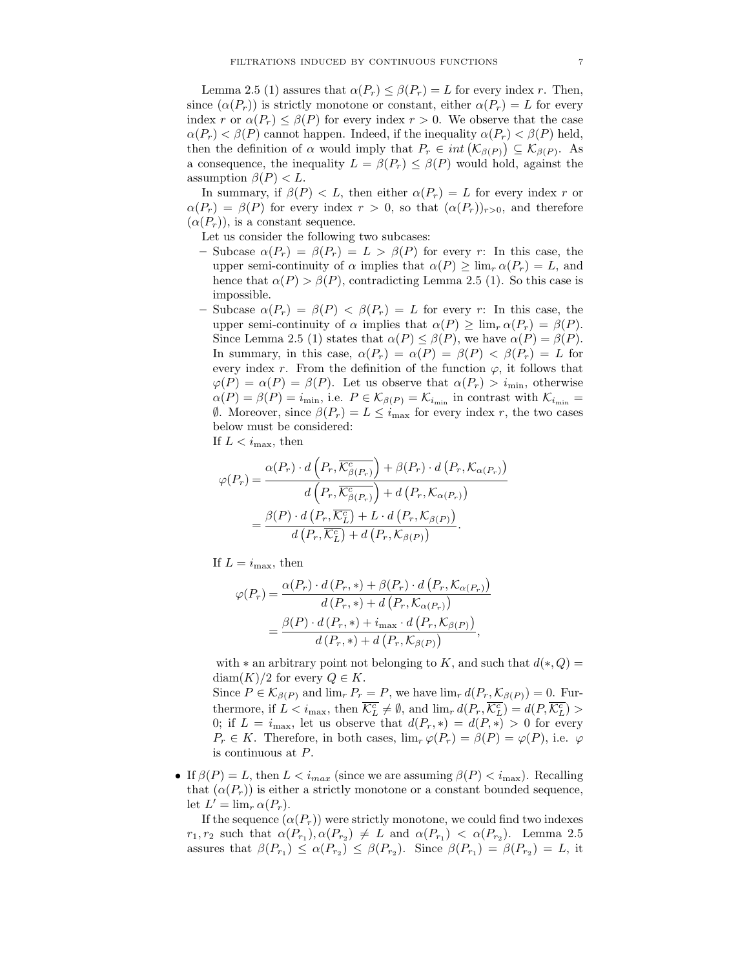Lemma 2.5 (1) assures that  $\alpha(P_r) \leq \beta(P_r) = L$  for every index r. Then, since  $(\alpha(P_r))$  is strictly monotone or constant, either  $\alpha(P_r) = L$  for every index r or  $\alpha(P_r) \leq \beta(P)$  for every index  $r > 0$ . We observe that the case  $\alpha(P_r) < \beta(P)$  cannot happen. Indeed, if the inequality  $\alpha(P_r) < \beta(P)$  held, then the definition of  $\alpha$  would imply that  $P_r \in int(\mathcal{K}_{\beta(P)}) \subseteq \mathcal{K}_{\beta(P)}$ . As a consequence, the inequality  $L = \beta(P_r) \leq \beta(P)$  would hold, against the assumption  $\beta(P) < L$ .

In summary, if  $\beta(P) < L$ , then either  $\alpha(P_r) = L$  for every index r or  $\alpha(P_r) = \beta(P)$  for every index  $r > 0$ , so that  $(\alpha(P_r))_{r>0}$ , and therefore  $(\alpha(P_r))$ , is a constant sequence.

Let us consider the following two subcases:

- Subcase  $\alpha(P_r) = \beta(P_r) = L > \beta(P)$  for every r: In this case, the upper semi-continuity of  $\alpha$  implies that  $\alpha(P) \geq \lim_{r \to \infty} \alpha(P_r) = L$ , and hence that  $\alpha(P) > \beta(P)$ , contradicting Lemma 2.5 (1). So this case is impossible.
- Subcase  $\alpha(P_r) = \beta(P) < \beta(P_r) = L$  for every r: In this case, the upper semi-continuity of  $\alpha$  implies that  $\alpha(P) > \lim_{r \to \alpha(P_r)} = \beta(P)$ . Since Lemma 2.5 (1) states that  $\alpha(P) \leq \beta(P)$ , we have  $\alpha(P) = \beta(P)$ . In summary, in this case,  $\alpha(P_r) = \alpha(P) = \beta(P) < \beta(P_r) = L$  for every index r. From the definition of the function  $\varphi$ , it follows that  $\varphi(P) = \alpha(P) = \beta(P)$ . Let us observe that  $\alpha(P_r) > i_{\text{min}}$ , otherwise  $\alpha(P) = \beta(P) = i_{\min}$ , i.e.  $P \in \mathcal{K}_{\beta(P)} = \mathcal{K}_{i_{\min}}$  in contrast with  $\mathcal{K}_{i_{\min}} =$  $θ$ . Moreover, since  $β(P_r) = L ≤ i<sub>max</sub>$  for every index r, the two cases below must be considered:

If  $L < i_{\text{max}}$ , then

$$
\varphi(P_r) = \frac{\alpha(P_r) \cdot d\left(P_r, \overline{\mathcal{K}^c_{\beta(P_r)}}\right) + \beta(P_r) \cdot d\left(P_r, \mathcal{K}_{\alpha(P_r)}\right)}{d\left(P_r, \overline{\mathcal{K}^c_{\beta(P_r)}}\right) + d\left(P_r, \mathcal{K}_{\alpha(P_r)}\right)}
$$

$$
= \frac{\beta(P) \cdot d\left(P_r, \overline{\mathcal{K}^c_L}\right) + L \cdot d\left(P_r, \mathcal{K}_{\beta(P)}\right)}{d\left(P_r, \overline{\mathcal{K}^c_L}\right) + d\left(P_r, \mathcal{K}_{\beta(P)}\right)}.
$$

If  $L = i_{\text{max}}$ , then

$$
\varphi(P_r) = \frac{\alpha(P_r) \cdot d(P_r, *) + \beta(P_r) \cdot d(P_r, \mathcal{K}_{\alpha(P_r)})}{d(P_r, *) + d(P_r, \mathcal{K}_{\alpha(P_r)})}
$$

$$
= \frac{\beta(P) \cdot d(P_r, *) + i_{\max} \cdot d(P_r, \mathcal{K}_{\beta(P)})}{d(P_r, *) + d(P_r, \mathcal{K}_{\beta(P)})},
$$

with  $*$  an arbitrary point not belonging to K, and such that  $d(*, Q) =$ diam $(K)/2$  for every  $Q \in K$ .

Since  $P \in \mathcal{K}_{\beta(P)}$  and  $\lim_{r} P_r = P$ , we have  $\lim_{r} d(P_r, \mathcal{K}_{\beta(P)}) = 0$ . Furthermore, if  $L < i_{\text{max}}$ , then  $\overline{\mathcal{K}_L^c} \neq \emptyset$ , and  $\lim_r d(P_r, \overline{\mathcal{K}_L^c}) = d(P, \overline{\mathcal{K}_L^c}) >$ 0; if  $L = i_{\text{max}}$ , let us observe that  $d(P_r, *) = d(P, *) > 0$  for every  $P_r \in K$ . Therefore, in both cases,  $\lim_{r \to \infty} \varphi(P_r) = \beta(P) = \varphi(P)$ , i.e.  $\varphi$ is continuous at P.

• If  $\beta(P) = L$ , then  $L < i_{max}$  (since we are assuming  $\beta(P) < i_{max}$ ). Recalling that  $(\alpha(P_r))$  is either a strictly monotone or a constant bounded sequence, let  $L' = \lim_{r} \alpha(P_r)$ .

If the sequence  $(\alpha(P_r))$  were strictly monotone, we could find two indexes  $r_1, r_2$  such that  $\alpha(P_{r_1}), \alpha(P_{r_2}) \neq L$  and  $\alpha(P_{r_1}) < \alpha(P_{r_2})$ . Lemma 2.5 assures that  $\beta(P_{r_1}) \leq \alpha(P_{r_2}) \leq \beta(P_{r_2})$ . Since  $\beta(P_{r_1}) = \beta(P_{r_2}) = L$ , it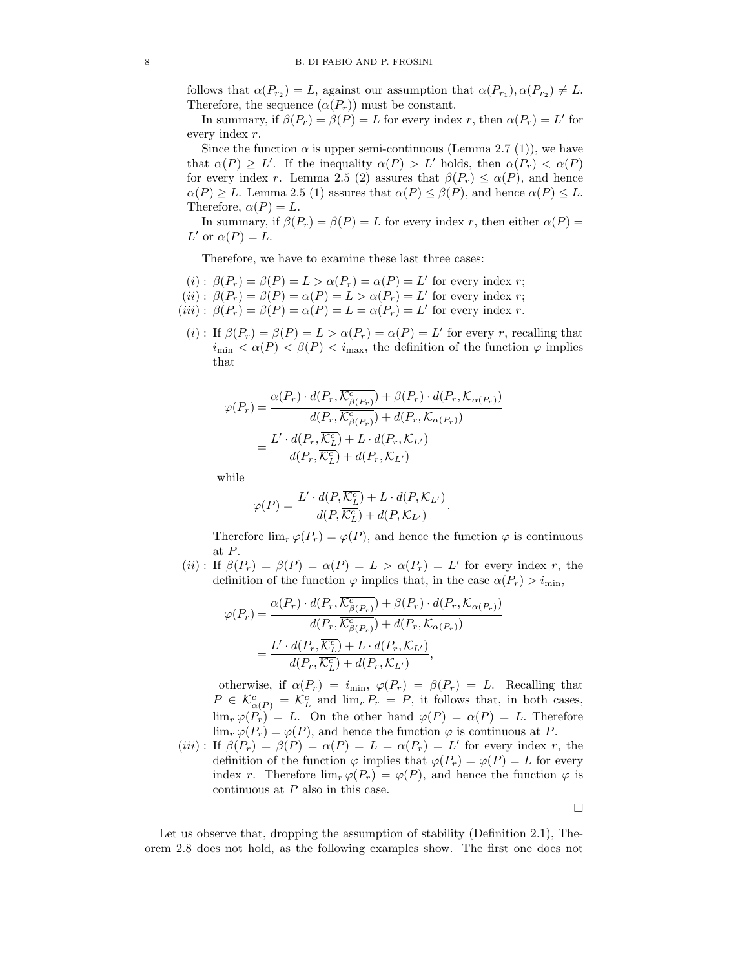follows that  $\alpha(P_{r_2}) = L$ , against our assumption that  $\alpha(P_{r_1}), \alpha(P_{r_2}) \neq L$ . Therefore, the sequence  $(\alpha(P_r))$  must be constant.

In summary, if  $\beta(P_r) = \beta(P) = L$  for every index r, then  $\alpha(P_r) = L'$  for every index r.

Since the function  $\alpha$  is upper semi-continuous (Lemma 2.7 (1)), we have that  $\alpha(P) \geq L'$ . If the inequality  $\alpha(P) > L'$  holds, then  $\alpha(P_r) < \alpha(P)$ for every index r. Lemma 2.5 (2) assures that  $\beta(P_r) \leq \alpha(P)$ , and hence  $\alpha(P) \geq L$ . Lemma 2.5 (1) assures that  $\alpha(P) \leq \beta(P)$ , and hence  $\alpha(P) \leq L$ . Therefore,  $\alpha(P) = L$ .

In summary, if  $\beta(P_r) = \beta(P) = L$  for every index r, then either  $\alpha(P) =$ L' or  $\alpha(P) = L$ .

Therefore, we have to examine these last three cases:

- $(i)$ :  $\beta(P_r) = \beta(P) = L > \alpha(P_r) = \alpha(P) = L'$  for every index r;
- $(ii)$ :  $\beta(P_r) = \beta(P) = \alpha(P) = L > \alpha(P_r) = L'$  for every index r;
- $(iii)$ :  $\beta(P_r) = \beta(P) = \alpha(P) = L = \alpha(P_r) = L'$  for every index r.
	- (*i*): If  $\beta(P_r) = \beta(P) = L > \alpha(P_r) = \alpha(P) = L'$  for every r, recalling that  $i_{\min} < \alpha(P) < \beta(P) < i_{\max}$ , the definition of the function  $\varphi$  implies that

$$
\varphi(P_r) = \frac{\alpha(P_r) \cdot d(P_r, \overline{\mathcal{K}^c_{\beta(P_r)}}) + \beta(P_r) \cdot d(P_r, \mathcal{K}_{\alpha(P_r)})}{d(P_r, \overline{\mathcal{K}^c_{\beta(P_r)}}) + d(P_r, \mathcal{K}_{\alpha(P_r)})}
$$

$$
= \frac{L' \cdot d(P_r, \overline{\mathcal{K}^c_L}) + L \cdot d(P_r, \mathcal{K}_{L'})}{d(P_r, \overline{\mathcal{K}^c_L}) + d(P_r, \mathcal{K}_{L'})}
$$

while

$$
\varphi(P) = \frac{L' \cdot d(P, \overline{K_L^c}) + L \cdot d(P, K_{L'})}{d(P, \overline{K_L^c}) + d(P, K_{L'})}
$$

Therefore  $\lim_{r} \varphi(P_r) = \varphi(P)$ , and hence the function  $\varphi$  is continuous at P.

.

(ii): If  $\beta(P_r) = \beta(P) = \alpha(P) = L > \alpha(P_r) = L'$  for every index r, the definition of the function  $\varphi$  implies that, in the case  $\alpha(P_r) > i_{\text{min}}$ ,

$$
\varphi(P_r) = \frac{\alpha(P_r) \cdot d(P_r, \overline{\mathcal{K}^c_{\beta(P_r)}}) + \beta(P_r) \cdot d(P_r, \mathcal{K}_{\alpha(P_r)})}{d(P_r, \overline{\mathcal{K}^c_{\beta(P_r)}}) + d(P_r, \mathcal{K}_{\alpha(P_r)})}
$$

$$
= \frac{L' \cdot d(P_r, \overline{\mathcal{K}^c_L}) + L \cdot d(P_r, \mathcal{K}_{L'})}{d(P_r, \overline{\mathcal{K}^c_L}) + d(P_r, \mathcal{K}_{L'})},
$$

otherwise, if  $\alpha(P_r) = i_{\text{min}}$ ,  $\varphi(P_r) = \beta(P_r) = L$ . Recalling that  $P \in \overline{\mathcal{K}_{\alpha(P)}^c} = \overline{\mathcal{K}_{L}^c}$  and  $\lim_{r} P_r = P$ , it follows that, in both cases,  $\lim_{r \to \infty} \varphi(P_r) = L$ . On the other hand  $\varphi(P) = \alpha(P) = L$ . Therefore  $\lim_{r \varphi(P_r) = \varphi(P)$ , and hence the function  $\varphi$  is continuous at P.

(iii): If  $\beta(P_r) = \beta(P) = \alpha(P) = L = \alpha(P_r) = L'$  for every index r, the definition of the function  $\varphi$  implies that  $\varphi(P_r) = \varphi(P) = L$  for every index r. Therefore  $\lim_{r \to \infty} \varphi(P_r) = \varphi(P)$ , and hence the function  $\varphi$  is continuous at  $P$  also in this case.

 $\Box$ 

Let us observe that, dropping the assumption of stability (Definition 2.1), Theorem 2.8 does not hold, as the following examples show. The first one does not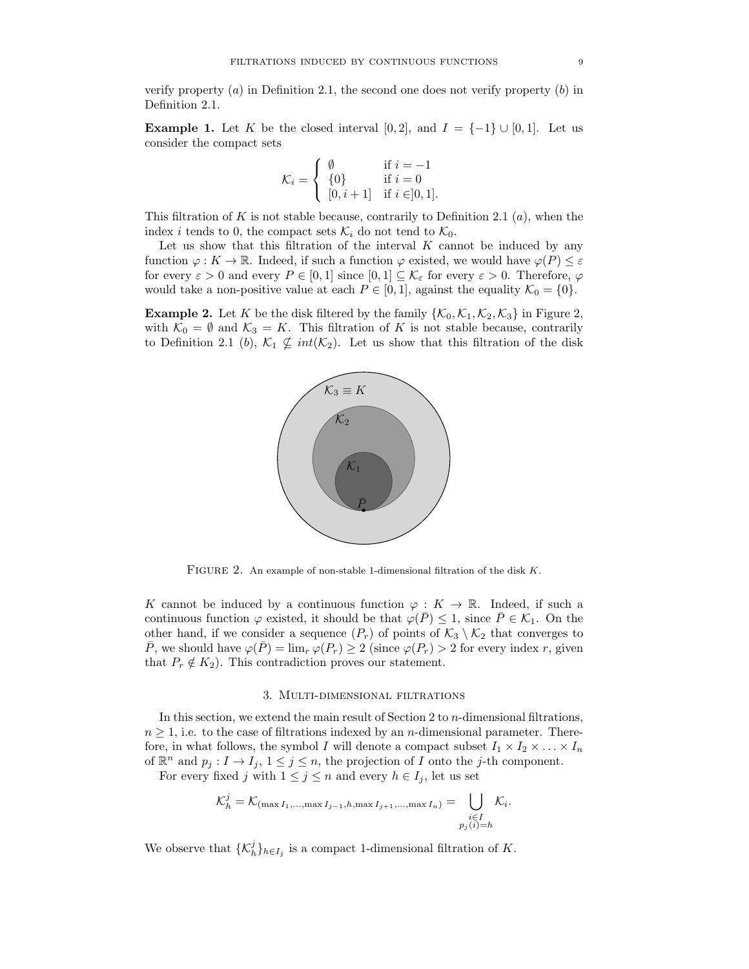verify property  $(a)$  in Definition 2.1, the second one does not verify property  $(b)$  in Definition 2.1.

**Example 1.** Let K be the closed interval [0, 2], and  $I = \{-1\} \cup [0, 1]$ . Let us consider the compact sets

$$
\mathcal{K}_i = \left\{ \begin{array}{ll} \emptyset & \text{if } i = -1 \\ \{0\} & \text{if } i = 0 \\ \left[0, i + 1\right] & \text{if } i \in ]0, 1]. \end{array} \right.
$$

This filtration of K is not stable because, contrarily to Definition 2.1  $(a)$ , when the index *i* tends to 0, the compact sets  $\mathcal{K}_i$  do not tend to  $\mathcal{K}_0$ .

Let us show that this filtration of the interval  $K$  cannot be induced by any function  $\varphi: K \to \mathbb{R}$ . Indeed, if such a function  $\varphi$  existed, we would have  $\varphi(P) \leq \varepsilon$ for every  $\varepsilon > 0$  and every  $P \in [0, 1]$  since  $[0, 1] \subseteq \mathcal{K}_{\varepsilon}$  for every  $\varepsilon > 0$ . Therefore,  $\varphi$ would take a non-positive value at each  $P \in [0, 1]$ , against the equality  $\mathcal{K}_0 = \{0\}$ .

**Example 2.** Let K be the disk filtered by the family  $\{\mathcal{K}_0, \mathcal{K}_1, \mathcal{K}_2, \mathcal{K}_3\}$  in Figure 2, with  $\mathcal{K}_0 = \emptyset$  and  $\mathcal{K}_3 = K$ . This filtration of K is not stable because, contrarily to Definition 2.1 (b),  $\mathcal{K}_1 \nsubseteq int(\mathcal{K}_2)$ . Let us show that this filtration of the disk



FIGURE 2. An example of non-stable 1-dimensional filtration of the disk  $K$ .

K cannot be induced by a continuous function  $\varphi: K \to \mathbb{R}$ . Indeed, if such a continuous function  $\varphi$  existed, it should be that  $\varphi(\bar{P}) \leq 1$ , since  $\bar{P} \in \mathcal{K}_1$ . On the other hand, if we consider a sequence  $(P_r)$  of points of  $\mathcal{K}_3 \setminus \mathcal{K}_2$  that converges to  $\overline{P}$ , we should have  $\varphi(\overline{P}) = \lim_{r \to \infty} \varphi(P_r) \geq 2$  (since  $\varphi(P_r) > 2$  for every index r, given that  $P_r \notin K_2$ ). This contradiction proves our statement.

## 3. Multi-dimensional filtrations

In this section, we extend the main result of Section 2 to  $n$ -dimensional filtrations,  $n \geq 1$ , i.e. to the case of filtrations indexed by an *n*-dimensional parameter. Therefore, in what follows, the symbol I will denote a compact subset  $I_1 \times I_2 \times \ldots \times I_n$ of  $\mathbb{R}^n$  and  $p_j: I \to I_j$ ,  $1 \leq j \leq n$ , the projection of I onto the j-th component.

For every fixed j with  $1 \leq j \leq n$  and every  $h \in I_j$ , let us set

$$
\mathcal{K}_h^j = \mathcal{K}_{(\max I_1, \dots, \max I_{j-1}, h, \max I_{j+1}, \dots, \max I_n)} = \bigcup_{\substack{i \in I \\ p_j(i) = h}} \mathcal{K}_i.
$$

We observe that  $\{\mathcal{K}_h^j\}_{h\in I_j}$  is a compact 1-dimensional filtration of K.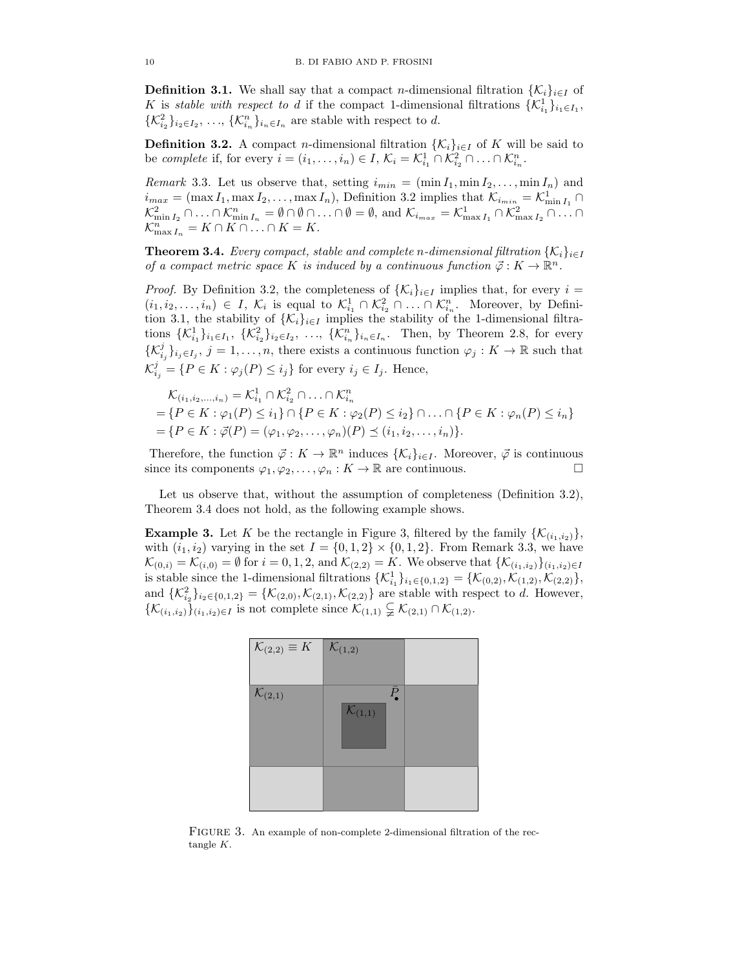**Definition 3.1.** We shall say that a compact *n*-dimensional filtration  $\{\mathcal{K}_i\}_{i\in I}$  of K is stable with respect to d if the compact 1-dimensional filtrations  $\{K_{i_1}^1\}_{i_1 \in I_1}$ ,  $\{\mathcal{K}_{i_2}^2\}_{i_2 \in I_2}, \ldots, \{\mathcal{K}_{i_n}^n\}_{i_n \in I_n}$  are stable with respect to d.

**Definition 3.2.** A compact *n*-dimensional filtration  $\{K_i\}_{i\in I}$  of K will be said to be complete if, for every  $i = (i_1, \ldots, i_n) \in I$ ,  $\mathcal{K}_i = \mathcal{K}_{i_1}^1 \cap \mathcal{K}_{i_2}^2 \cap \ldots \cap \mathcal{K}_{i_n}^n$ .

*Remark* 3.3. Let us observe that, setting  $i_{min} = (\min I_1, \min I_2, \ldots, \min I_n)$  and  $i_{max} = (\max I_1, \max I_2, \dots, \max I_n)$ , Definition 3.2 implies that  $\mathcal{K}_{i_{min}} = \mathcal{K}^1_{\min I_1} \cap$  $\mathcal{K}^2_{\min I_2} \cap \ldots \cap \mathcal{K}^n_{\min I_n} = \emptyset \cap \emptyset \cap \ldots \cap \emptyset = \emptyset$ , and  $\mathcal{K}_{i_{max}} = \mathcal{K}^1_{\max I_1} \cap \mathcal{K}^2_{\max I_2} \cap \ldots \cap$  $\mathcal{K}_{\max I_n}^n = K \cap K \cap \ldots \cap K = K.$ 

**Theorem 3.4.** Every compact, stable and complete n-dimensional filtration  $\{K_i\}_{i\in I}$ of a compact metric space K is induced by a continuous function  $\vec{\varphi}: K \to \mathbb{R}^n$ .

*Proof.* By Definition 3.2, the completeness of  $\{\mathcal{K}_i\}_{i\in I}$  implies that, for every  $i =$  $(i_1, i_2, \ldots, i_n) \in I$ ,  $\mathcal{K}_i$  is equal to  $\mathcal{K}_{i_1}^1 \cap \mathcal{K}_{i_2}^2 \cap \ldots \cap \mathcal{K}_{i_n}^n$ . Moreover, by Definition 3.1, the stability of  $\{\mathcal{K}_i\}_{i\in I}$  implies the stability of the 1-dimensional filtrations  $\{\mathcal{K}_{i_1}^1\}_{i_1 \in I_1}, \{\mathcal{K}_{i_2}^2\}_{i_2 \in I_2}, \ldots, \{\mathcal{K}_{i_n}^n\}_{i_n \in I_n}$ . Then, by Theorem 2.8, for every  $\{\mathcal{K}_{i_j}^j\}_{i_j\in I_j}, j=1,\ldots,n$ , there exists a continuous function  $\varphi_j: K\to \mathbb{R}$  such that  $\mathcal{K}_{i_j}^j = \{P \in K : \varphi_j(P) \leq i_j\}$  for every  $i_j \in I_j$ . Hence,

$$
\mathcal{K}_{(i_1,i_2,\ldots,i_n)} = \mathcal{K}_{i_1}^1 \cap \mathcal{K}_{i_2}^2 \cap \ldots \cap \mathcal{K}_{i_n}^n
$$
  
=  $\{P \in K : \varphi_1(P) \le i_1\} \cap \{P \in K : \varphi_2(P) \le i_2\} \cap \ldots \cap \{P \in K : \varphi_n(P) \le i_n\}$   
=  $\{P \in K : \vec{\varphi}(P) = (\varphi_1, \varphi_2, \ldots, \varphi_n)(P) \le (i_1, i_2, \ldots, i_n)\}.$ 

Therefore, the function  $\vec{\varphi}: K \to \mathbb{R}^n$  induces  $\{\mathcal{K}_i\}_{i \in I}$ . Moreover,  $\vec{\varphi}$  is continuous since its components  $\varphi_1, \varphi_2, \ldots, \varphi_n : K \to \mathbb{R}$  are continuous.

Let us observe that, without the assumption of completeness (Definition 3.2), Theorem 3.4 does not hold, as the following example shows.

**Example 3.** Let K be the rectangle in Figure 3, filtered by the family  $\{K_{(i_1,i_2)}\}$ , with  $(i_1, i_2)$  varying in the set  $I = \{0, 1, 2\} \times \{0, 1, 2\}$ . From Remark 3.3, we have  $\mathcal{K}_{(0,i)} = \mathcal{K}_{(i,0)} = \emptyset$  for  $i = 0,1,2$ , and  $\mathcal{K}_{(2,2)} = K$ . We observe that  $\{\mathcal{K}_{(i_1,i_2)}\}_{(i_1,i_2)\in I}$ is stable since the 1-dimensional filtrations  $\{\mathcal{K}_{i_1}^1\}_{i_1 \in \{0,1,2\}} = \{\mathcal{K}_{(0,2)}, \mathcal{K}_{(1,2)}, \mathcal{K}_{(2,2)}\},\$ and  $\{\mathcal{K}_{i_2}^2\}_{i_2 \in \{0,1,2\}} = \{\mathcal{K}_{(2,0)}, \mathcal{K}_{(2,1)}, \mathcal{K}_{(2,2)}\}$  are stable with respect to d. However,  $\{\mathcal{K}_{(i_1,i_2)}\}_{(i_1,i_2)\in I}$  is not complete since  $\mathcal{K}_{(1,1)}\subsetneq \mathcal{K}_{(2,1)}\cap \mathcal{K}_{(1,2)}$ .



FIGURE 3. An example of non-complete 2-dimensional filtration of the rectangle K.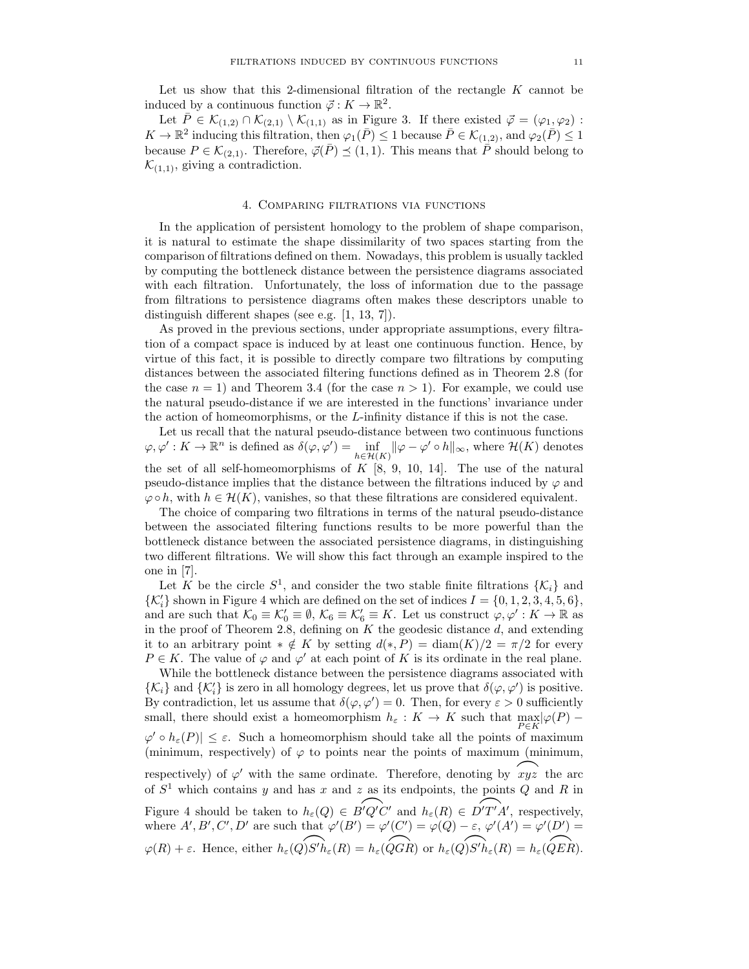Let us show that this 2-dimensional filtration of the rectangle  $K$  cannot be induced by a continuous function  $\vec{\varphi}: K \to \mathbb{R}^2$ .

Let  $\overline{P} \in \mathcal{K}_{(1,2)} \cap \mathcal{K}_{(2,1)} \setminus \mathcal{K}_{(1,1)}$  as in Figure 3. If there existed  $\overline{\varphi} = (\varphi_1, \varphi_2)$ :  $K \to \mathbb{R}^2$  inducing this filtration, then  $\varphi_1(\bar{P}) \leq 1$  because  $\bar{P} \in \mathcal{K}_{(1,2)}$ , and  $\varphi_2(\bar{P}) \leq 1$ because  $P \in \mathcal{K}_{(2,1)}$ . Therefore,  $\vec{\varphi}(\bar{P}) \preceq (1,1)$ . This means that  $\overline{\vec{P}}$  should belong to  $\mathcal{K}_{(1,1)}$ , giving a contradiction.

### 4. Comparing filtrations via functions

In the application of persistent homology to the problem of shape comparison, it is natural to estimate the shape dissimilarity of two spaces starting from the comparison of filtrations defined on them. Nowadays, this problem is usually tackled by computing the bottleneck distance between the persistence diagrams associated with each filtration. Unfortunately, the loss of information due to the passage from filtrations to persistence diagrams often makes these descriptors unable to distinguish different shapes (see e.g. [1, 13, 7]).

As proved in the previous sections, under appropriate assumptions, every filtration of a compact space is induced by at least one continuous function. Hence, by virtue of this fact, it is possible to directly compare two filtrations by computing distances between the associated filtering functions defined as in Theorem 2.8 (for the case  $n = 1$ ) and Theorem 3.4 (for the case  $n > 1$ ). For example, we could use the natural pseudo-distance if we are interested in the functions' invariance under the action of homeomorphisms, or the  $L$ -infinity distance if this is not the case.

Let us recall that the natural pseudo-distance between two continuous functions  $\varphi, \varphi' : K \to \mathbb{R}^n$  is defined as  $\delta(\varphi, \varphi') = \inf_{h \in \mathcal{H}(K)} ||\varphi - \varphi' \circ h||_{\infty}$ , where  $\mathcal{H}(K)$  denotes the set of all self-homeomorphisms of  $K$  [8, 9, 10, 14]. The use of the natural pseudo-distance implies that the distance between the filtrations induced by  $\varphi$  and  $\varphi \circ h$ , with  $h \in \mathcal{H}(K)$ , vanishes, so that these filtrations are considered equivalent.

The choice of comparing two filtrations in terms of the natural pseudo-distance between the associated filtering functions results to be more powerful than the bottleneck distance between the associated persistence diagrams, in distinguishing two different filtrations. We will show this fact through an example inspired to the one in [7].

Let K be the circle  $S^1$ , and consider the two stable finite filtrations  $\{\mathcal{K}_i\}$  and  $\{{\cal K}'_i\}$  shown in Figure 4 which are defined on the set of indices  $I=\{0,1,2,3,4,5,6\},$ and are such that  $\mathcal{K}_0 \equiv \mathcal{K}'_0 \equiv \emptyset$ ,  $\mathcal{K}_6 \equiv \mathcal{K}'_6 \equiv K$ . Let us construct  $\varphi, \varphi' : K \to \mathbb{R}$  as in the proof of Theorem 2.8, defining on  $K$  the geodesic distance  $d$ , and extending it to an arbitrary point  $* \notin K$  by setting  $d(*, P) = \text{diam}(K)/2 = \pi/2$  for every  $P \in K$ . The value of  $\varphi$  and  $\varphi'$  at each point of K is its ordinate in the real plane.

While the bottleneck distance between the persistence diagrams associated with  $\{\mathcal{K}_i\}$  and  $\{\mathcal{K}'_i\}$  is zero in all homology degrees, let us prove that  $\delta(\varphi, \varphi')$  is positive. By contradiction, let us assume that  $\delta(\varphi, \varphi') = 0$ . Then, for every  $\varepsilon > 0$  sufficiently small, there should exist a homeomorphism  $h_{\varepsilon}: K \to K$  such that  $\max_{P \in K} |\varphi(P) - \varphi|$  $\varphi' \circ h_{\varepsilon}(P) \leq \varepsilon$ . Such a homeomorphism should take all the points of maximum (minimum, respectively) of  $\varphi$  to points near the points of maximum (minimum, (infinitum, respectively) of  $\varphi$  to points hear the points of maximum (infinitum,<br>respectively) of  $\varphi'$  with the same ordinate. Therefore, denoting by  $\hat{xyz}$  the arc of  $S<sup>1</sup>$  which contains y and has x and z as its endpoints, the points Q and R in Figure 4 should be taken to  $h_{\varepsilon}(Q) \in B'Q'C'$  and  $h_{\varepsilon}(R) \in \widehat{D'T'A'}$ , respectively, where  $A', B', C', D'$  are such that  $\varphi'(B') = \varphi'(C') = \varphi(Q) - \varepsilon$ ,  $\varphi'(A') = \varphi'(D') =$ where  $A, B, C, D$  are such that  $\varphi(B) = \varphi(C) = \varphi(Q) - \varepsilon$ ,  $\varphi(A) = \varphi(D) = \varphi(R) + \varepsilon$ . Hence, either  $h_{\varepsilon}(Q)S'h_{\varepsilon}(R) = h_{\varepsilon}(QGR)$  or  $h_{\varepsilon}(Q)S'h_{\varepsilon}(R) = h_{\varepsilon}(QER)$ .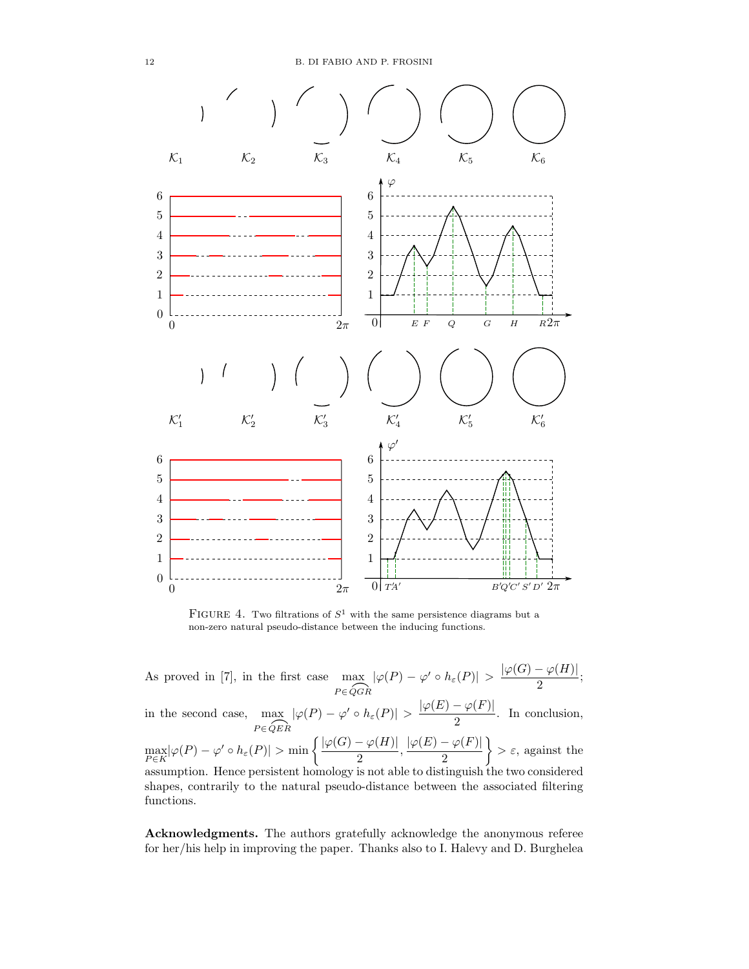

FIGURE 4. Two filtrations of  $S^1$  with the same persistence diagrams but a non-zero natural pseudo-distance between the inducing functions.

As proved in [7], in the first case  $\max_{P \in \widehat{QGR}} |\varphi(P) - \varphi' \circ h_{\varepsilon}(P)| > \frac{|\varphi(G) - \varphi(H)|}{2}$  $\frac{r^{(1)}(1)}{2}$ in the second case,  $\max_{P \in \widehat{QER}} |\varphi(P) - \varphi' \circ h_{\varepsilon}(P)| > \frac{|\varphi(E) - \varphi(F)|}{2}$  $\frac{\varphi(x)}{2}$ . In conclusion,  $\max_{P\in K} \lvert \varphi(P) - \varphi' \circ h_\varepsilon(P)\rvert > \min\left\{\frac{\lvert \varphi(G) - \varphi(H) \rvert}{2} \right\}$  $\frac{1-\varphi(H)|}{2}, \frac{|\varphi(E)-\varphi(F)|}{2}$ 2  $\{\epsilon, \text{ against the}\}$ assumption. Hence persistent homology is not able to distinguish the two considered shapes, contrarily to the natural pseudo-distance between the associated filtering functions.

Acknowledgments. The authors gratefully acknowledge the anonymous referee for her/his help in improving the paper. Thanks also to I. Halevy and D. Burghelea